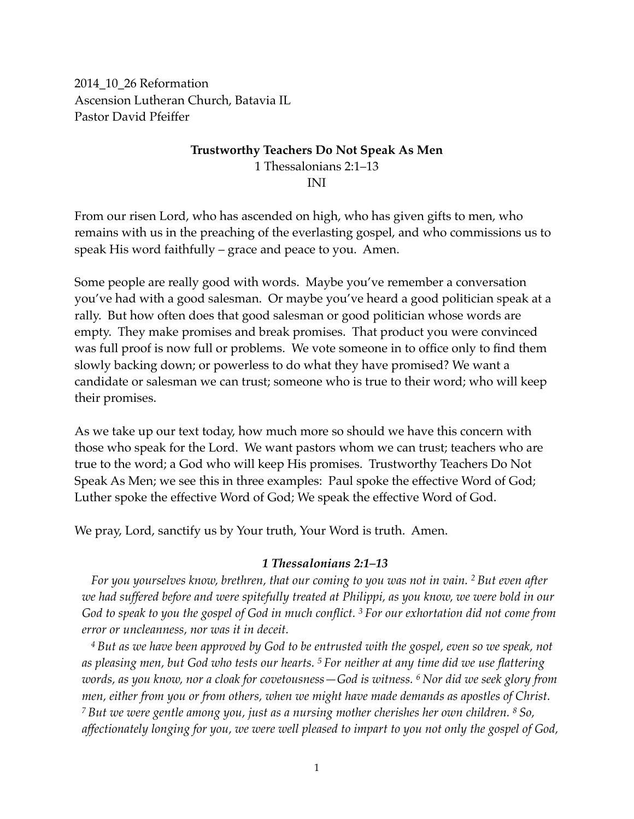2014\_10\_26 Reformation Ascension Lutheran Church, Batavia IL Pastor David Pfeiffer

### **Trustworthy Teachers Do Not Speak As Men** 1 Thessalonians 2:1–13 INI

From our risen Lord, who has ascended on high, who has given gifts to men, who remains with us in the preaching of the everlasting gospel, and who commissions us to speak His word faithfully – grace and peace to you. Amen.

Some people are really good with words. Maybe you've remember a conversation you've had with a good salesman. Or maybe you've heard a good politician speak at a rally. But how often does that good salesman or good politician whose words are empty. They make promises and break promises. That product you were convinced was full proof is now full or problems. We vote someone in to office only to find them slowly backing down; or powerless to do what they have promised? We want a candidate or salesman we can trust; someone who is true to their word; who will keep their promises.

As we take up our text today, how much more so should we have this concern with those who speak for the Lord. We want pastors whom we can trust; teachers who are true to the word; a God who will keep His promises. Trustworthy Teachers Do Not Speak As Men; we see this in three examples: Paul spoke the effective Word of God; Luther spoke the effective Word of God; We speak the effective Word of God.

We pray, Lord, sanctify us by Your truth, Your Word is truth. Amen.

#### *1 Thessalonians 2:1–13*

*For you yourselves know, brethren, that our coming to you was not in vain. 2 But even after we had suffered before and were spitefully treated at Philippi, as you know, we were bold in our God to speak to you the gospel of God in much conflict. 3 For our exhortation did not come from error or uncleanness, nor was it in deceit.*

*<sup>4</sup> But as we have been approved by God to be entrusted with the gospel, even so we speak, not as pleasing men, but God who tests our hearts. 5 For neither at any time did we use flattering words, as you know, nor a cloak for covetousness—God is witness. 6 Nor did we seek glory from men, either from you or from others, when we might have made demands as apostles of Christ. <sup>7</sup> But we were gentle among you, just as a nursing mother cherishes her own children. 8 So, affectionately longing for you, we were well pleased to impart to you not only the gospel of God,*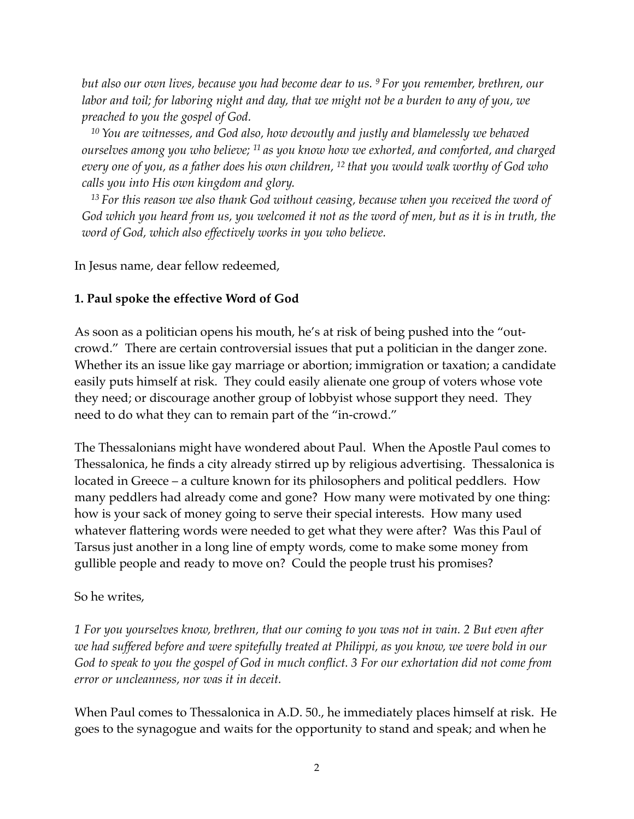*but also our own lives, because you had become dear to us. 9 For you remember, brethren, our labor and toil; for laboring night and day, that we might not be a burden to any of you, we preached to you the gospel of God.*

<sup>10</sup> You are witnesses, and God also, how devoutly and justly and blamelessly we behaved *ourselves among you who believe; 11 as you know how we exhorted, and comforted, and charged every one of you, as a father does his own children, 12 that you would walk worthy of God who calls you into His own kingdom and glory.*

*<sup>13</sup> For this reason we also thank God without ceasing, because when you received the word of God which you heard from us, you welcomed it not as the word of men, but as it is in truth, the word of God, which also effectively works in you who believe.*

In Jesus name, dear fellow redeemed,

### **1. Paul spoke the effective Word of God**

As soon as a politician opens his mouth, he's at risk of being pushed into the "outcrowd." There are certain controversial issues that put a politician in the danger zone. Whether its an issue like gay marriage or abortion; immigration or taxation; a candidate easily puts himself at risk. They could easily alienate one group of voters whose vote they need; or discourage another group of lobbyist whose support they need. They need to do what they can to remain part of the "in-crowd."

The Thessalonians might have wondered about Paul. When the Apostle Paul comes to Thessalonica, he finds a city already stirred up by religious advertising. Thessalonica is located in Greece – a culture known for its philosophers and political peddlers. How many peddlers had already come and gone? How many were motivated by one thing: how is your sack of money going to serve their special interests. How many used whatever flattering words were needed to get what they were after? Was this Paul of Tarsus just another in a long line of empty words, come to make some money from gullible people and ready to move on? Could the people trust his promises?

#### So he writes,

*1 For you yourselves know, brethren, that our coming to you was not in vain. 2 But even after we had suffered before and were spitefully treated at Philippi, as you know, we were bold in our God to speak to you the gospel of God in much conflict. 3 For our exhortation did not come from error or uncleanness, nor was it in deceit.*

When Paul comes to Thessalonica in A.D. 50., he immediately places himself at risk. He goes to the synagogue and waits for the opportunity to stand and speak; and when he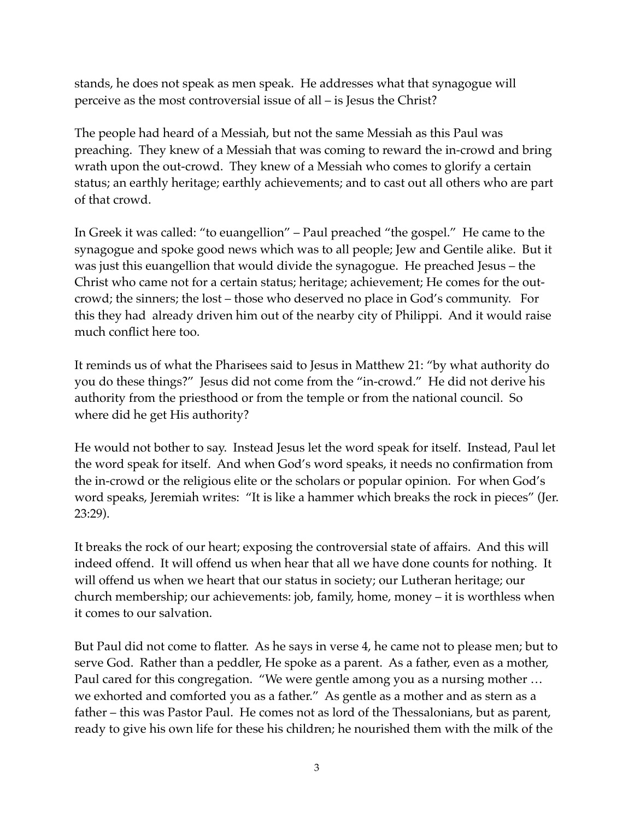stands, he does not speak as men speak. He addresses what that synagogue will perceive as the most controversial issue of all – is Jesus the Christ?

The people had heard of a Messiah, but not the same Messiah as this Paul was preaching. They knew of a Messiah that was coming to reward the in-crowd and bring wrath upon the out-crowd. They knew of a Messiah who comes to glorify a certain status; an earthly heritage; earthly achievements; and to cast out all others who are part of that crowd.

In Greek it was called: "to euangellion" – Paul preached "the gospel." He came to the synagogue and spoke good news which was to all people; Jew and Gentile alike. But it was just this euangellion that would divide the synagogue. He preached Jesus – the Christ who came not for a certain status; heritage; achievement; He comes for the outcrowd; the sinners; the lost – those who deserved no place in God's community. For this they had already driven him out of the nearby city of Philippi. And it would raise much conflict here too.

It reminds us of what the Pharisees said to Jesus in Matthew 21: "by what authority do you do these things?" Jesus did not come from the "in-crowd." He did not derive his authority from the priesthood or from the temple or from the national council. So where did he get His authority?

He would not bother to say. Instead Jesus let the word speak for itself. Instead, Paul let the word speak for itself. And when God's word speaks, it needs no confirmation from the in-crowd or the religious elite or the scholars or popular opinion. For when God's word speaks, Jeremiah writes: "It is like a hammer which breaks the rock in pieces" (Jer. 23:29).

It breaks the rock of our heart; exposing the controversial state of affairs. And this will indeed offend. It will offend us when hear that all we have done counts for nothing. It will offend us when we heart that our status in society; our Lutheran heritage; our church membership; our achievements: job, family, home, money – it is worthless when it comes to our salvation.

But Paul did not come to flatter. As he says in verse 4, he came not to please men; but to serve God. Rather than a peddler, He spoke as a parent. As a father, even as a mother, Paul cared for this congregation. "We were gentle among you as a nursing mother … we exhorted and comforted you as a father." As gentle as a mother and as stern as a father – this was Pastor Paul. He comes not as lord of the Thessalonians, but as parent, ready to give his own life for these his children; he nourished them with the milk of the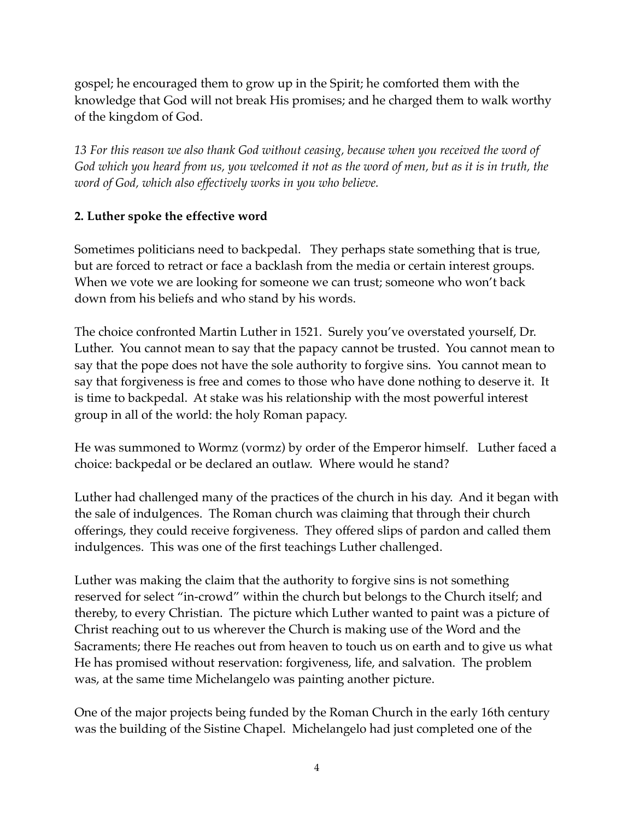gospel; he encouraged them to grow up in the Spirit; he comforted them with the knowledge that God will not break His promises; and he charged them to walk worthy of the kingdom of God.

*13 For this reason we also thank God without ceasing, because when you received the word of God which you heard from us, you welcomed it not as the word of men, but as it is in truth, the word of God, which also effectively works in you who believe.*

# **2. Luther spoke the effective word**

Sometimes politicians need to backpedal. They perhaps state something that is true, but are forced to retract or face a backlash from the media or certain interest groups. When we vote we are looking for someone we can trust; someone who won't back down from his beliefs and who stand by his words.

The choice confronted Martin Luther in 1521. Surely you've overstated yourself, Dr. Luther. You cannot mean to say that the papacy cannot be trusted. You cannot mean to say that the pope does not have the sole authority to forgive sins. You cannot mean to say that forgiveness is free and comes to those who have done nothing to deserve it. It is time to backpedal. At stake was his relationship with the most powerful interest group in all of the world: the holy Roman papacy.

He was summoned to Wormz (vormz) by order of the Emperor himself. Luther faced a choice: backpedal or be declared an outlaw. Where would he stand?

Luther had challenged many of the practices of the church in his day. And it began with the sale of indulgences. The Roman church was claiming that through their church offerings, they could receive forgiveness. They offered slips of pardon and called them indulgences. This was one of the first teachings Luther challenged.

Luther was making the claim that the authority to forgive sins is not something reserved for select "in-crowd" within the church but belongs to the Church itself; and thereby, to every Christian. The picture which Luther wanted to paint was a picture of Christ reaching out to us wherever the Church is making use of the Word and the Sacraments; there He reaches out from heaven to touch us on earth and to give us what He has promised without reservation: forgiveness, life, and salvation. The problem was, at the same time Michelangelo was painting another picture.

One of the major projects being funded by the Roman Church in the early 16th century was the building of the Sistine Chapel. Michelangelo had just completed one of the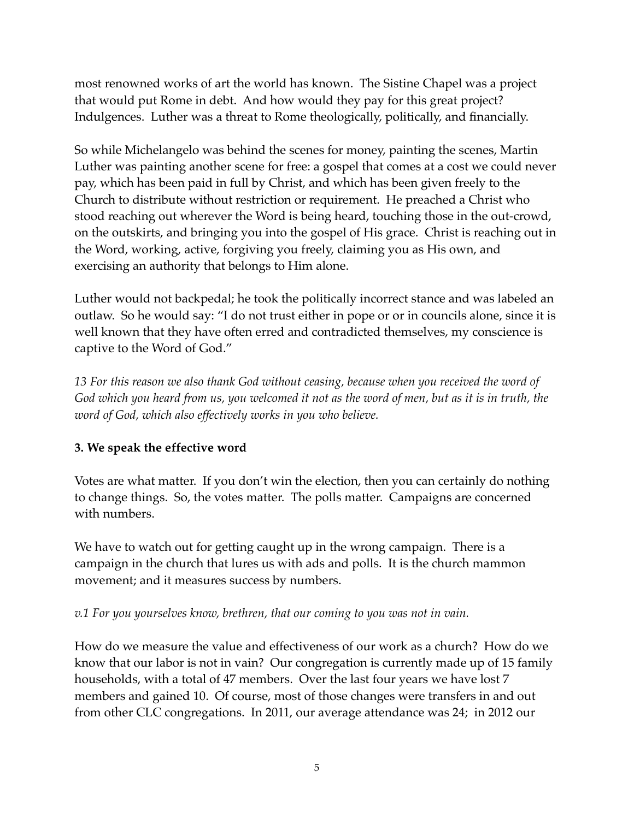most renowned works of art the world has known. The Sistine Chapel was a project that would put Rome in debt. And how would they pay for this great project? Indulgences. Luther was a threat to Rome theologically, politically, and financially.

So while Michelangelo was behind the scenes for money, painting the scenes, Martin Luther was painting another scene for free: a gospel that comes at a cost we could never pay, which has been paid in full by Christ, and which has been given freely to the Church to distribute without restriction or requirement. He preached a Christ who stood reaching out wherever the Word is being heard, touching those in the out-crowd, on the outskirts, and bringing you into the gospel of His grace. Christ is reaching out in the Word, working, active, forgiving you freely, claiming you as His own, and exercising an authority that belongs to Him alone.

Luther would not backpedal; he took the politically incorrect stance and was labeled an outlaw. So he would say: "I do not trust either in pope or or in councils alone, since it is well known that they have often erred and contradicted themselves, my conscience is captive to the Word of God."

*13 For this reason we also thank God without ceasing, because when you received the word of God which you heard from us, you welcomed it not as the word of men, but as it is in truth, the word of God, which also effectively works in you who believe.*

# **3. We speak the effective word**

Votes are what matter. If you don't win the election, then you can certainly do nothing to change things. So, the votes matter. The polls matter. Campaigns are concerned with numbers.

We have to watch out for getting caught up in the wrong campaign. There is a campaign in the church that lures us with ads and polls. It is the church mammon movement; and it measures success by numbers.

*v.1 For you yourselves know, brethren, that our coming to you was not in vain.*

How do we measure the value and effectiveness of our work as a church? How do we know that our labor is not in vain? Our congregation is currently made up of 15 family households, with a total of 47 members. Over the last four years we have lost 7 members and gained 10. Of course, most of those changes were transfers in and out from other CLC congregations. In 2011, our average attendance was 24; in 2012 our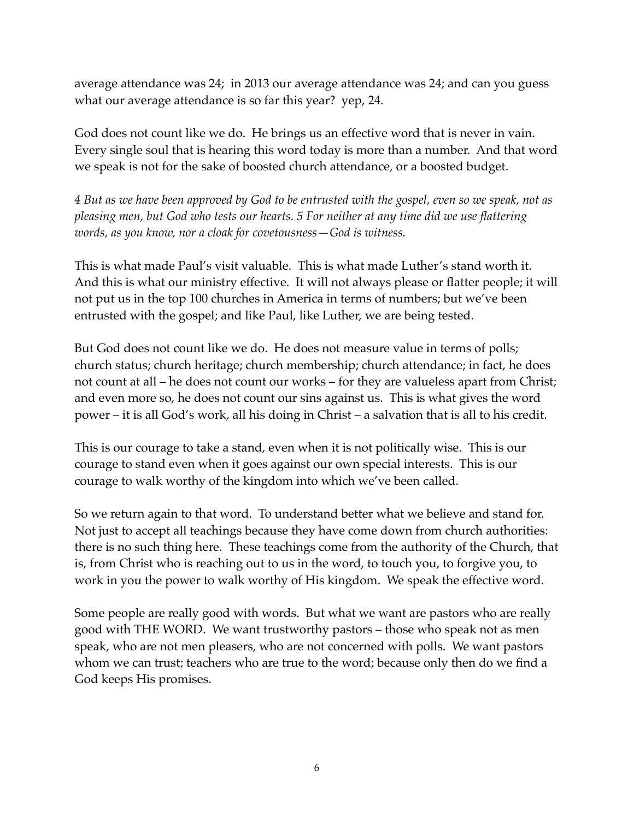average attendance was 24; in 2013 our average attendance was 24; and can you guess what our average attendance is so far this year? yep, 24.

God does not count like we do. He brings us an effective word that is never in vain. Every single soul that is hearing this word today is more than a number. And that word we speak is not for the sake of boosted church attendance, or a boosted budget.

*4 But as we have been approved by God to be entrusted with the gospel, even so we speak, not as pleasing men, but God who tests our hearts. 5 For neither at any time did we use flattering words, as you know, nor a cloak for covetousness—God is witness.*

This is what made Paul's visit valuable. This is what made Luther's stand worth it. And this is what our ministry effective. It will not always please or flatter people; it will not put us in the top 100 churches in America in terms of numbers; but we've been entrusted with the gospel; and like Paul, like Luther, we are being tested.

But God does not count like we do. He does not measure value in terms of polls; church status; church heritage; church membership; church attendance; in fact, he does not count at all – he does not count our works – for they are valueless apart from Christ; and even more so, he does not count our sins against us. This is what gives the word power – it is all God's work, all his doing in Christ – a salvation that is all to his credit.

This is our courage to take a stand, even when it is not politically wise. This is our courage to stand even when it goes against our own special interests. This is our courage to walk worthy of the kingdom into which we've been called.

So we return again to that word. To understand better what we believe and stand for. Not just to accept all teachings because they have come down from church authorities: there is no such thing here. These teachings come from the authority of the Church, that is, from Christ who is reaching out to us in the word, to touch you, to forgive you, to work in you the power to walk worthy of His kingdom. We speak the effective word.

Some people are really good with words. But what we want are pastors who are really good with THE WORD. We want trustworthy pastors – those who speak not as men speak, who are not men pleasers, who are not concerned with polls. We want pastors whom we can trust; teachers who are true to the word; because only then do we find a God keeps His promises.